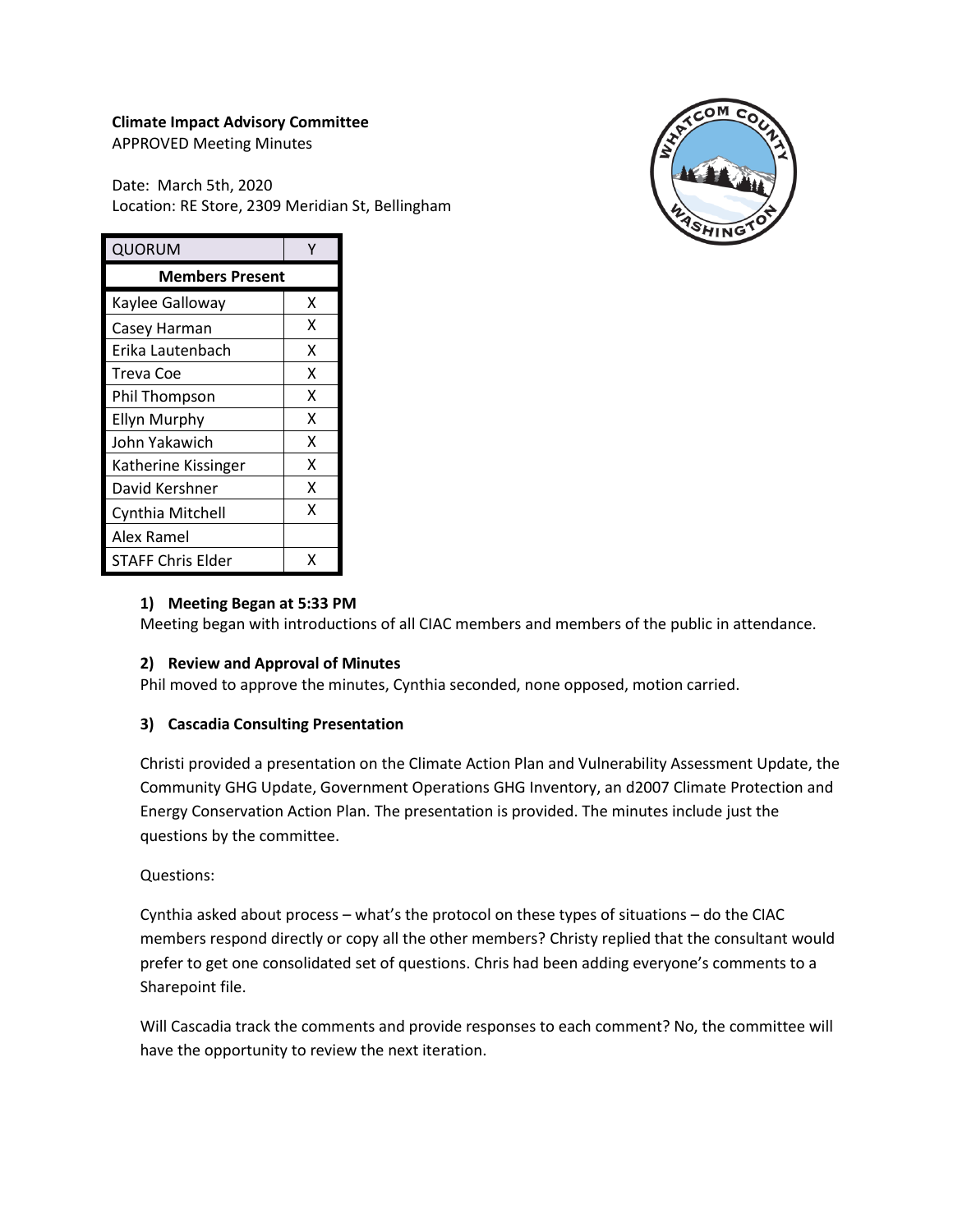# **Climate Impact Advisory Committee**

APPROVED Meeting Minutes

Date: March 5th, 2020 Location: RE Store, 2309 Meridian St, Bellingham



| QUORUM                 |   |
|------------------------|---|
| <b>Members Present</b> |   |
| Kaylee Galloway        | x |
| Casey Harman           | x |
| Erika Lautenbach       | x |
| Treva Coe              | x |
| Phil Thompson          | X |
| <b>Ellyn Murphy</b>    | x |
| John Yakawich          | X |
| Katherine Kissinger    | x |
| David Kershner         | x |
| Cynthia Mitchell       | x |
| Alex Ramel             |   |
| STAFF Chris Elder      | x |

### **1) Meeting Began at 5:33 PM**

Meeting began with introductions of all CIAC members and members of the public in attendance.

### **2) Review and Approval of Minutes**

Phil moved to approve the minutes, Cynthia seconded, none opposed, motion carried.

### **3) Cascadia Consulting Presentation**

Christi provided a presentation on the Climate Action Plan and Vulnerability Assessment Update, the Community GHG Update, Government Operations GHG Inventory, an d2007 Climate Protection and Energy Conservation Action Plan. The presentation is provided. The minutes include just the questions by the committee.

### Questions:

Cynthia asked about process – what's the protocol on these types of situations – do the CIAC members respond directly or copy all the other members? Christy replied that the consultant would prefer to get one consolidated set of questions. Chris had been adding everyone's comments to a Sharepoint file.

Will Cascadia track the comments and provide responses to each comment? No, the committee will have the opportunity to review the next iteration.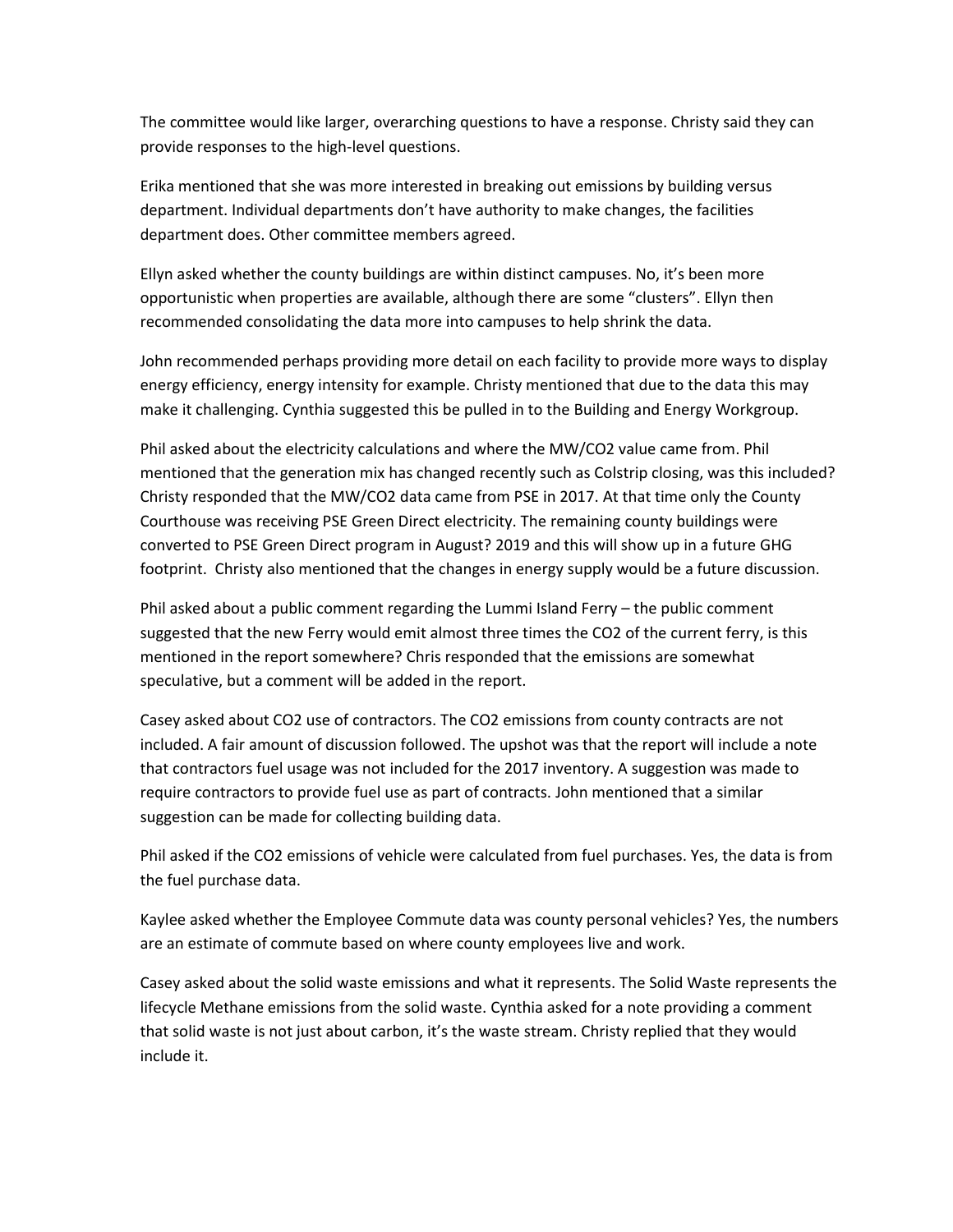The committee would like larger, overarching questions to have a response. Christy said they can provide responses to the high-level questions.

Erika mentioned that she was more interested in breaking out emissions by building versus department. Individual departments don't have authority to make changes, the facilities department does. Other committee members agreed.

Ellyn asked whether the county buildings are within distinct campuses. No, it's been more opportunistic when properties are available, although there are some "clusters". Ellyn then recommended consolidating the data more into campuses to help shrink the data.

John recommended perhaps providing more detail on each facility to provide more ways to display energy efficiency, energy intensity for example. Christy mentioned that due to the data this may make it challenging. Cynthia suggested this be pulled in to the Building and Energy Workgroup.

Phil asked about the electricity calculations and where the MW/CO2 value came from. Phil mentioned that the generation mix has changed recently such as Colstrip closing, was this included? Christy responded that the MW/CO2 data came from PSE in 2017. At that time only the County Courthouse was receiving PSE Green Direct electricity. The remaining county buildings were converted to PSE Green Direct program in August? 2019 and this will show up in a future GHG footprint. Christy also mentioned that the changes in energy supply would be a future discussion.

Phil asked about a public comment regarding the Lummi Island Ferry – the public comment suggested that the new Ferry would emit almost three times the CO2 of the current ferry, is this mentioned in the report somewhere? Chris responded that the emissions are somewhat speculative, but a comment will be added in the report.

Casey asked about CO2 use of contractors. The CO2 emissions from county contracts are not included. A fair amount of discussion followed. The upshot was that the report will include a note that contractors fuel usage was not included for the 2017 inventory. A suggestion was made to require contractors to provide fuel use as part of contracts. John mentioned that a similar suggestion can be made for collecting building data.

Phil asked if the CO2 emissions of vehicle were calculated from fuel purchases. Yes, the data is from the fuel purchase data.

Kaylee asked whether the Employee Commute data was county personal vehicles? Yes, the numbers are an estimate of commute based on where county employees live and work.

Casey asked about the solid waste emissions and what it represents. The Solid Waste represents the lifecycle Methane emissions from the solid waste. Cynthia asked for a note providing a comment that solid waste is not just about carbon, it's the waste stream. Christy replied that they would include it.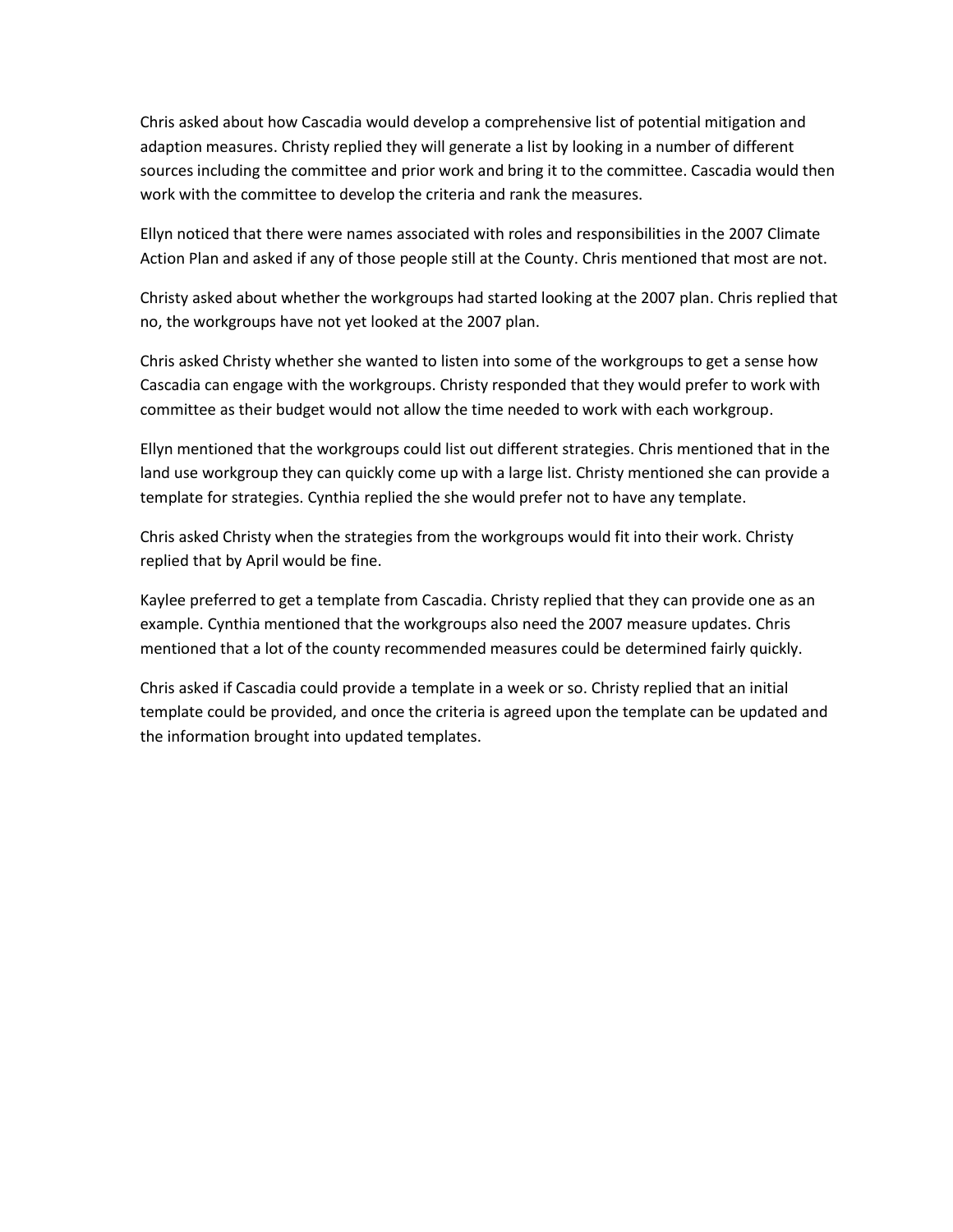Chris asked about how Cascadia would develop a comprehensive list of potential mitigation and adaption measures. Christy replied they will generate a list by looking in a number of different sources including the committee and prior work and bring it to the committee. Cascadia would then work with the committee to develop the criteria and rank the measures.

Ellyn noticed that there were names associated with roles and responsibilities in the 2007 Climate Action Plan and asked if any of those people still at the County. Chris mentioned that most are not.

Christy asked about whether the workgroups had started looking at the 2007 plan. Chris replied that no, the workgroups have not yet looked at the 2007 plan.

Chris asked Christy whether she wanted to listen into some of the workgroups to get a sense how Cascadia can engage with the workgroups. Christy responded that they would prefer to work with committee as their budget would not allow the time needed to work with each workgroup.

Ellyn mentioned that the workgroups could list out different strategies. Chris mentioned that in the land use workgroup they can quickly come up with a large list. Christy mentioned she can provide a template for strategies. Cynthia replied the she would prefer not to have any template.

Chris asked Christy when the strategies from the workgroups would fit into their work. Christy replied that by April would be fine.

Kaylee preferred to get a template from Cascadia. Christy replied that they can provide one as an example. Cynthia mentioned that the workgroups also need the 2007 measure updates. Chris mentioned that a lot of the county recommended measures could be determined fairly quickly.

Chris asked if Cascadia could provide a template in a week or so. Christy replied that an initial template could be provided, and once the criteria is agreed upon the template can be updated and the information brought into updated templates.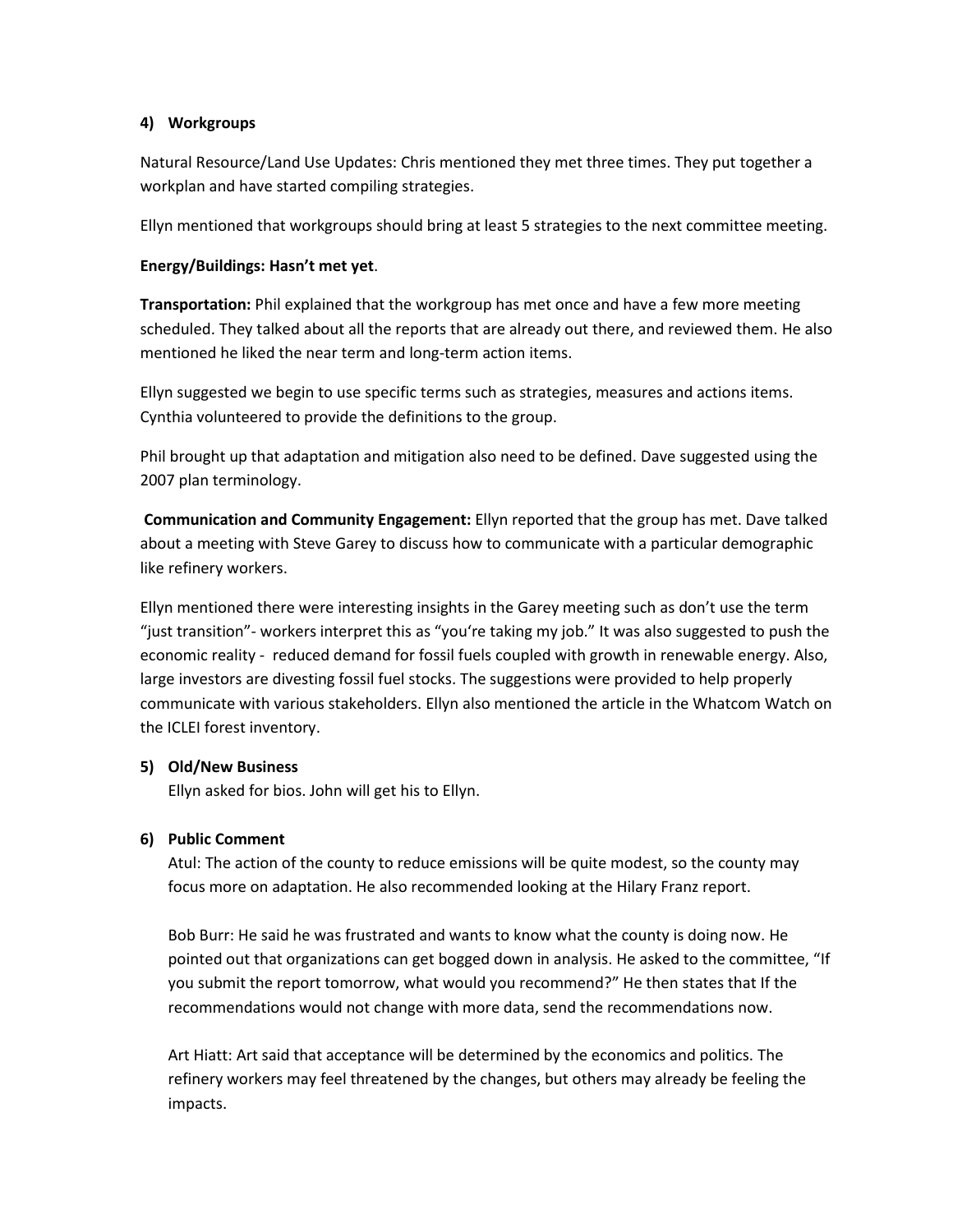### **4) Workgroups**

Natural Resource/Land Use Updates: Chris mentioned they met three times. They put together a workplan and have started compiling strategies.

Ellyn mentioned that workgroups should bring at least 5 strategies to the next committee meeting.

## **Energy/Buildings: Hasn't met yet**.

**Transportation:** Phil explained that the workgroup has met once and have a few more meeting scheduled. They talked about all the reports that are already out there, and reviewed them. He also mentioned he liked the near term and long-term action items.

Ellyn suggested we begin to use specific terms such as strategies, measures and actions items. Cynthia volunteered to provide the definitions to the group.

Phil brought up that adaptation and mitigation also need to be defined. Dave suggested using the 2007 plan terminology.

**Communication and Community Engagement:** Ellyn reported that the group has met. Dave talked about a meeting with Steve Garey to discuss how to communicate with a particular demographic like refinery workers.

Ellyn mentioned there were interesting insights in the Garey meeting such as don't use the term "just transition"- workers interpret this as "you're taking my job." It was also suggested to push the economic reality - reduced demand for fossil fuels coupled with growth in renewable energy. Also, large investors are divesting fossil fuel stocks. The suggestions were provided to help properly communicate with various stakeholders. Ellyn also mentioned the article in the Whatcom Watch on the ICLEI forest inventory.

# **5) Old/New Business**

Ellyn asked for bios. John will get his to Ellyn.

# **6) Public Comment**

Atul: The action of the county to reduce emissions will be quite modest, so the county may focus more on adaptation. He also recommended looking at the Hilary Franz report.

Bob Burr: He said he was frustrated and wants to know what the county is doing now. He pointed out that organizations can get bogged down in analysis. He asked to the committee, "If you submit the report tomorrow, what would you recommend?" He then states that If the recommendations would not change with more data, send the recommendations now.

Art Hiatt: Art said that acceptance will be determined by the economics and politics. The refinery workers may feel threatened by the changes, but others may already be feeling the impacts.